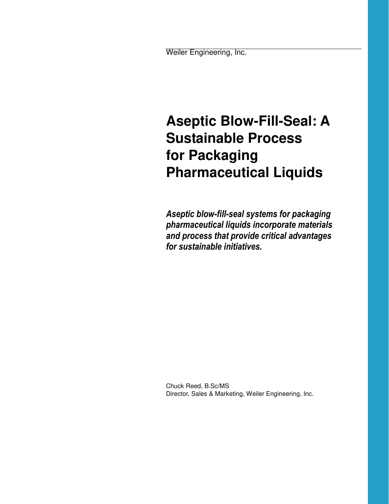Weiler Engineering, Inc.

# **Aseptic Blow-Fill-Seal: A Sustainable Process for Packaging Pharmaceutical Liquids**

*Aseptic blow-fill-seal systems for packaging pharmaceutical liquids incorporate materials and process that provide critical advantages for sustainable initiatives.*

Chuck Reed, B.Sc/MS Director, Sales & Marketing, Weiler Engineering, Inc.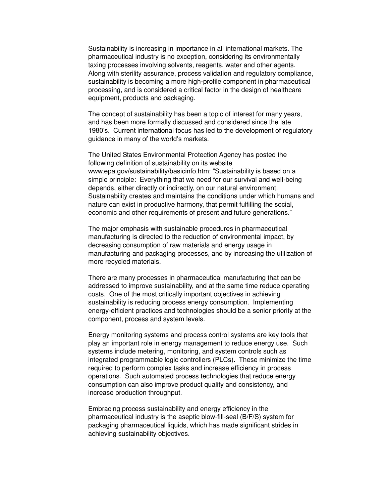Sustainability is increasing in importance in all international markets. The pharmaceutical industry is no exception, considering its environmentally taxing processes involving solvents, reagents, water and other agents. Along with sterility assurance, process validation and regulatory compliance, sustainability is becoming a more high-profile component in pharmaceutical processing, and is considered a critical factor in the design of healthcare equipment, products and packaging.

The concept of sustainability has been a topic of interest for many years, and has been more formally discussed and considered since the late 1980's. Current international focus has led to the development of regulatory guidance in many of the world's markets.

The United States Environmental Protection Agency has posted the following definition of sustainability on its website www.epa.gov/sustainability/basicinfo.htm: "Sustainability is based on a simple principle: Everything that we need for our survival and well-being depends, either directly or indirectly, on our natural environment. Sustainability creates and maintains the conditions under which humans and nature can exist in productive harmony, that permit fulfilling the social, economic and other requirements of present and future generations."

The major emphasis with sustainable procedures in pharmaceutical manufacturing is directed to the reduction of environmental impact, by decreasing consumption of raw materials and energy usage in manufacturing and packaging processes, and by increasing the utilization of more recycled materials.

There are many processes in pharmaceutical manufacturing that can be addressed to improve sustainability, and at the same time reduce operating costs. One of the most critically important objectives in achieving sustainability is reducing process energy consumption. Implementing energy-efficient practices and technologies should be a senior priority at the component, process and system levels.

Energy monitoring systems and process control systems are key tools that play an important role in energy management to reduce energy use. Such systems include metering, monitoring, and system controls such as integrated programmable logic controllers (PLCs). These minimize the time required to perform complex tasks and increase efficiency in process operations. Such automated process technologies that reduce energy consumption can also improve product quality and consistency, and increase production throughput.

Embracing process sustainability and energy efficiency in the pharmaceutical industry is the aseptic blow-fill-seal (B/F/S) system for packaging pharmaceutical liquids, which has made significant strides in achieving sustainability objectives.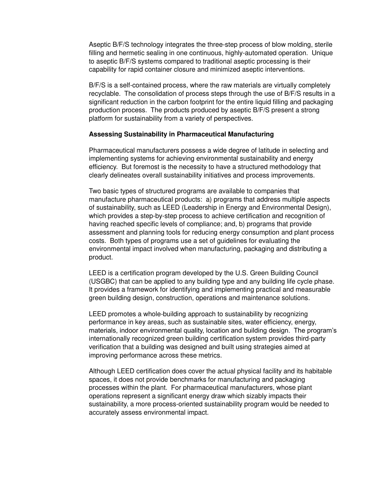Aseptic B/F/S technology integrates the three-step process of blow molding, sterile filling and hermetic sealing in one continuous, highly-automated operation. Unique to aseptic B/F/S systems compared to traditional aseptic processing is their capability for rapid container closure and minimized aseptic interventions.

B/F/S is a self-contained process, where the raw materials are virtually completely recyclable. The consolidation of process steps through the use of B/F/S results in a significant reduction in the carbon footprint for the entire liquid filling and packaging production process. The products produced by aseptic B/F/S present a strong platform for sustainability from a variety of perspectives.

## **Assessing Sustainability in Pharmaceutical Manufacturing**

Pharmaceutical manufacturers possess a wide degree of latitude in selecting and implementing systems for achieving environmental sustainability and energy efficiency. But foremost is the necessity to have a structured methodology that clearly delineates overall sustainability initiatives and process improvements.

Two basic types of structured programs are available to companies that manufacture pharmaceutical products: a) programs that address multiple aspects of sustainability, such as LEED (Leadership in Energy and Environmental Design), which provides a step-by-step process to achieve certification and recognition of having reached specific levels of compliance; and, b) programs that provide assessment and planning tools for reducing energy consumption and plant process costs. Both types of programs use a set of guidelines for evaluating the environmental impact involved when manufacturing, packaging and distributing a product.

LEED is a certification program developed by the U.S. Green Building Council (USGBC) that can be applied to any building type and any building life cycle phase. It provides a framework for identifying and implementing practical and measurable green building design, construction, operations and maintenance solutions.

LEED promotes a whole-building approach to sustainability by recognizing performance in key areas, such as sustainable sites, water efficiency, energy, materials, indoor environmental quality, location and building design. The program's internationally recognized green building certification system provides third-party verification that a building was designed and built using strategies aimed at improving performance across these metrics.

Although LEED certification does cover the actual physical facility and its habitable spaces, it does not provide benchmarks for manufacturing and packaging processes within the plant. For pharmaceutical manufacturers, whose plant operations represent a significant energy draw which sizably impacts their sustainability, a more process-oriented sustainability program would be needed to accurately assess environmental impact.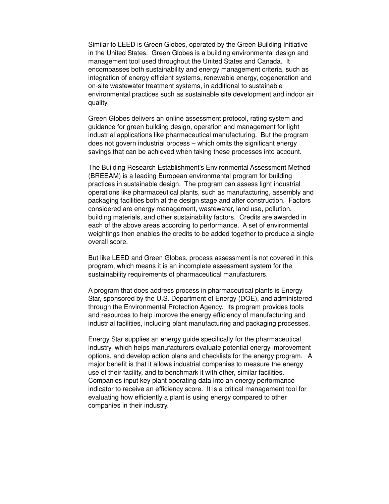Similar to LEED is Green Globes, operated by the Green Building Initiative in the United States. Green Globes is a building environmental design and management tool used throughout the United States and Canada. It encompasses both sustainability and energy management criteria, such as integration of energy efficient systems, renewable energy, cogeneration and on-site wastewater treatment systems, in additional to sustainable environmental practices such as sustainable site development and indoor air quality.

Green Globes delivers an online assessment protocol, rating system and guidance for green building design, operation and management for light industrial applications like pharmaceutical manufacturing. But the program does not govern industrial process – which omits the significant energy savings that can be achieved when taking these processes into account.

The Building Research Establishment's Environmental Assessment Method (BREEAM) is a leading European environmental program for building practices in sustainable design. The program can assess light industrial operations like pharmaceutical plants, such as manufacturing, assembly and packaging facilities both at the design stage and after construction. Factors considered are energy management, wastewater, land use, pollution, building materials, and other sustainability factors. Credits are awarded in each of the above areas according to performance. A set of environmental weightings then enables the credits to be added together to produce a single overall score.

But like LEED and Green Globes, process assessment is not covered in this program, which means it is an incomplete assessment system for the sustainability requirements of pharmaceutical manufacturers.

A program that does address process in pharmaceutical plants is Energy Star, sponsored by the U.S. Department of Energy (DOE), and administered through the Environmental Protection Agency. Its program provides tools and resources to help improve the energy efficiency of manufacturing and industrial facilities, including plant manufacturing and packaging processes.

Energy Star supplies an energy guide specifically for the pharmaceutical industry, which helps manufacturers evaluate potential energy improvement options, and develop action plans and checklists for the energy program. A major benefit is that it allows industrial companies to measure the energy use of their facility, and to benchmark it with other, similar facilities. Companies input key plant operating data into an energy performance indicator to receive an efficiency score. It is a critical management tool for evaluating how efficiently a plant is using energy compared to other companies in their industry.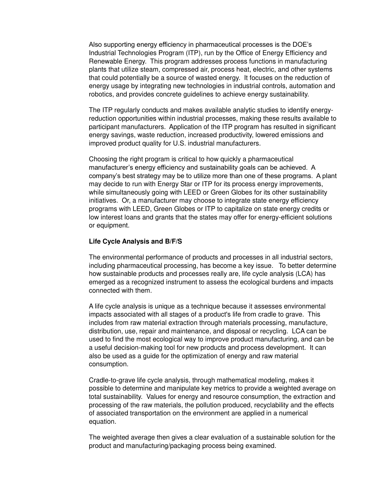Also supporting energy efficiency in pharmaceutical processes is the DOE's Industrial Technologies Program (ITP), run by the Office of Energy Efficiency and Renewable Energy. This program addresses process functions in manufacturing plants that utilize steam, compressed air, process heat, electric, and other systems that could potentially be a source of wasted energy. It focuses on the reduction of energy usage by integrating new technologies in industrial controls, automation and robotics, and provides concrete guidelines to achieve energy sustainability.

The ITP regularly conducts and makes available analytic studies to identify energyreduction opportunities within industrial processes, making these results available to participant manufacturers. Application of the ITP program has resulted in significant energy savings, waste reduction, increased productivity, lowered emissions and improved product quality for U.S. industrial manufacturers.

Choosing the right program is critical to how quickly a pharmaceutical manufacturer's energy efficiency and sustainability goals can be achieved. A company's best strategy may be to utilize more than one of these programs. A plant may decide to run with Energy Star or ITP for its process energy improvements, while simultaneously going with LEED or Green Globes for its other sustainability initiatives. Or, a manufacturer may choose to integrate state energy efficiency programs with LEED, Green Globes or ITP to capitalize on state energy credits or low interest loans and grants that the states may offer for energy-efficient solutions or equipment.

## **Life Cycle Analysis and B/F/S**

The environmental performance of products and processes in all industrial sectors, including pharmaceutical processing, has become a key issue. To better determine how sustainable products and processes really are, life cycle analysis (LCA) has emerged as a recognized instrument to assess the ecological burdens and impacts connected with them.

A life cycle analysis is unique as a technique because it assesses environmental impacts associated with all stages of a product's life from cradle to grave. This includes from raw material extraction through materials processing, manufacture, distribution, use, repair and maintenance, and disposal or recycling. LCA can be used to find the most ecological way to improve product manufacturing, and can be a useful decision-making tool for new products and process development. It can also be used as a guide for the optimization of energy and raw material consumption.

Cradle-to-grave life cycle analysis, through mathematical modeling, makes it possible to determine and manipulate key metrics to provide a weighted average on total sustainability. Values for energy and resource consumption, the extraction and processing of the raw materials, the pollution produced, recyclability and the effects of associated transportation on the environment are applied in a numerical equation.

The weighted average then gives a clear evaluation of a sustainable solution for the product and manufacturing/packaging process being examined.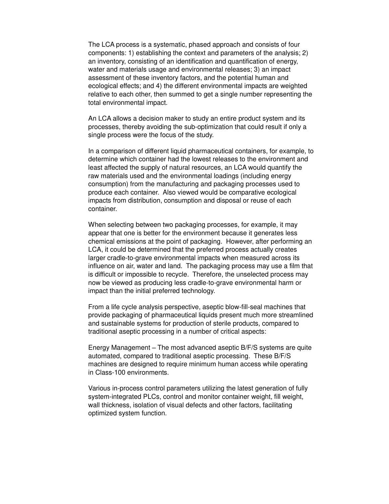The LCA process is a systematic, phased approach and consists of four components: 1) establishing the context and parameters of the analysis; 2) an inventory, consisting of an identification and quantification of energy, water and materials usage and environmental releases; 3) an impact assessment of these inventory factors, and the potential human and ecological effects; and 4) the different environmental impacts are weighted relative to each other, then summed to get a single number representing the total environmental impact.

An LCA allows a decision maker to study an entire product system and its processes, thereby avoiding the sub-optimization that could result if only a single process were the focus of the study.

In a comparison of different liquid pharmaceutical containers, for example, to determine which container had the lowest releases to the environment and least affected the supply of natural resources, an LCA would quantify the raw materials used and the environmental loadings (including energy consumption) from the manufacturing and packaging processes used to produce each container. Also viewed would be comparative ecological impacts from distribution, consumption and disposal or reuse of each container.

When selecting between two packaging processes, for example, it may appear that one is better for the environment because it generates less chemical emissions at the point of packaging. However, after performing an LCA, it could be determined that the preferred process actually creates larger cradle-to-grave environmental impacts when measured across its influence on air, water and land. The packaging process may use a film that is difficult or impossible to recycle. Therefore, the unselected process may now be viewed as producing less cradle-to-grave environmental harm or impact than the initial preferred technology.

From a life cycle analysis perspective, aseptic blow-fill-seal machines that provide packaging of pharmaceutical liquids present much more streamlined and sustainable systems for production of sterile products, compared to traditional aseptic processing in a number of critical aspects:

Energy Management – The most advanced aseptic B/F/S systems are quite automated, compared to traditional aseptic processing. These B/F/S machines are designed to require minimum human access while operating in Class-100 environments.

Various in-process control parameters utilizing the latest generation of fully system-integrated PLCs, control and monitor container weight, fill weight, wall thickness, isolation of visual defects and other factors, facilitating optimized system function.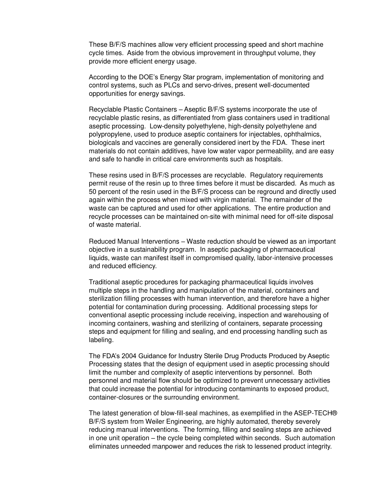These B/F/S machines allow very efficient processing speed and short machine cycle times. Aside from the obvious improvement in throughput volume, they provide more efficient energy usage.

According to the DOE's Energy Star program, implementation of monitoring and control systems, such as PLCs and servo-drives, present well-documented opportunities for energy savings.

Recyclable Plastic Containers – Aseptic B/F/S systems incorporate the use of recyclable plastic resins, as differentiated from glass containers used in traditional aseptic processing. Low-density polyethylene, high-density polyethylene and polypropylene, used to produce aseptic containers for injectables, ophthalmics, biologicals and vaccines are generally considered inert by the FDA. These inert materials do not contain additives, have low water vapor permeability, and are easy and safe to handle in critical care environments such as hospitals.

These resins used in B/F/S processes are recyclable. Regulatory requirements permit reuse of the resin up to three times before it must be discarded. As much as 50 percent of the resin used in the B/F/S process can be reground and directly used again within the process when mixed with virgin material. The remainder of the waste can be captured and used for other applications. The entire production and recycle processes can be maintained on-site with minimal need for off-site disposal of waste material.

Reduced Manual Interventions – Waste reduction should be viewed as an important objective in a sustainability program. In aseptic packaging of pharmaceutical liquids, waste can manifest itself in compromised quality, labor-intensive processes and reduced efficiency.

Traditional aseptic procedures for packaging pharmaceutical liquids involves multiple steps in the handling and manipulation of the material, containers and sterilization filling processes with human intervention, and therefore have a higher potential for contamination during processing. Additional processing steps for conventional aseptic processing include receiving, inspection and warehousing of incoming containers, washing and sterilizing of containers, separate processing steps and equipment for filling and sealing, and end processing handling such as labeling.

The FDA's 2004 Guidance for Industry Sterile Drug Products Produced by Aseptic Processing states that the design of equipment used in aseptic processing should limit the number and complexity of aseptic interventions by personnel. Both personnel and material flow should be optimized to prevent unnecessary activities that could increase the potential for introducing contaminants to exposed product, container-closures or the surrounding environment.

The latest generation of blow-fill-seal machines, as exemplified in the ASEP-TECH® B/F/S system from Weiler Engineering, are highly automated, thereby severely reducing manual interventions. The forming, filling and sealing steps are achieved in one unit operation – the cycle being completed within seconds. Such automation eliminates unneeded manpower and reduces the risk to lessened product integrity.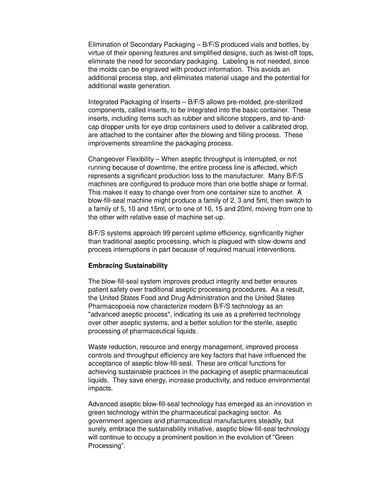Elimination of Secondary Packaging – B/F/S produced vials and bottles, by virtue of their opening features and simplified designs, such as twist-off tops, eliminate the need for secondary packaging. Labeling is not needed, since the molds can be engraved with product information. This avoids an additional process step, and eliminates material usage and the potential for additional waste generation.

Integrated Packaging of Inserts – B/F/S allows pre-molded, pre-sterilized components, called inserts, to be integrated into the basic container. These inserts, including items such as rubber and silicone stoppers, and tip-andcap dropper units for eye drop containers used to deliver a calibrated drop, are attached to the container after the blowing and filling process. These improvements streamline the packaging process.

Changeover Flexibility – When aseptic throughput is interrupted, or not running because of downtime, the entire process line is affected, which represents a significant production loss to the manufacturer. Many B/F/S machines are configured to produce more than one bottle shape or format. This makes it easy to change over from one container size to another. A blow-fill-seal machine might produce a family of 2, 3 and 5ml, then switch to a family of 5, 10 and 15ml, or to one of 10, 15 and 20ml, moving from one to the other with relative ease of machine set-up.

B/F/S systems approach 99 percent uptime efficiency, significantly higher than traditional aseptic processing, which is plagued with slow-downs and process interruptions in part because of required manual interventions.

## **Embracing Sustainability**

The blow-fill-seal system improves product integrity and better ensures patient safety over traditional aseptic processing procedures. As a result, the United States Food and Drug Administration and the United States Pharmacopoeia now characterize modern B/F/S technology as an "advanced aseptic process", indicating its use as a preferred technology over other aseptic systems, and a better solution for the sterile, aseptic processing of pharmaceutical liquids.

Waste reduction, resource and energy management, improved process controls and throughput efficiency are key factors that have influenced the acceptance of aseptic blow-fill-seal. These are critical functions for achieving sustainable practices in the packaging of aseptic pharmaceutical liquids. They save energy, increase productivity, and reduce environmental impacts.

Advanced aseptic blow-fill-seal technology has emerged as an innovation in green technology within the pharmaceutical packaging sector. As government agencies and pharmaceutical manufacturers steadily, but surely, embrace the sustainability initiative, aseptic blow-fill-seal technology will continue to occupy a prominent position in the evolution of "Green Processing".